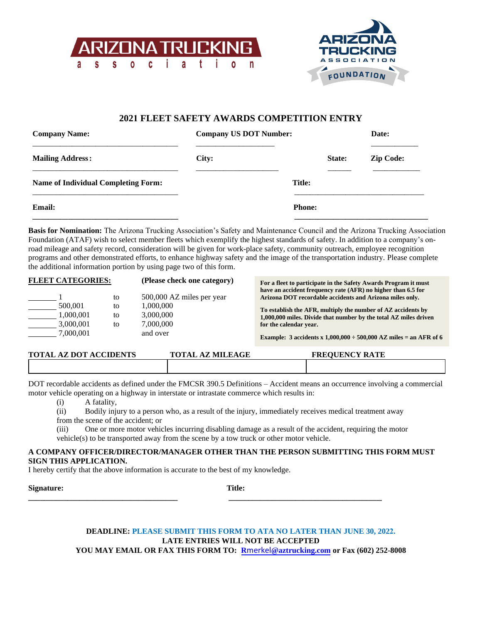



## **2021 FLEET SAFETY AWARDS COMPETITION ENTRY**

| <b>Company US DOT Number:</b><br><b>Company Name:</b> |       |               | Date:            |
|-------------------------------------------------------|-------|---------------|------------------|
| <b>Mailing Address:</b>                               | City: | State:        | <b>Zip Code:</b> |
| <b>Name of Individual Completing Form:</b>            |       | <b>Title:</b> |                  |
| <b>Email:</b>                                         |       | <b>Phone:</b> |                  |

**Basis for Nomination:** The Arizona Trucking Association's Safety and Maintenance Council and the Arizona Trucking Association Foundation (ATAF) wish to select member fleets which exemplify the highest standards of safety. In addition to a company's onroad mileage and safety record, consideration will be given for work-place safety, community outreach, employee recognition programs and other demonstrated efforts, to enhance highway safety and the image of the transportation industry. Please complete the additional information portion by using page two of this form.

| <b>FLEET CATEGORIES:</b> |    | (Please check one category) | For a fleet to participate in the Safety Awards Program it must<br>have an accident frequency rate (AFR) no higher than 6.5 for |
|--------------------------|----|-----------------------------|---------------------------------------------------------------------------------------------------------------------------------|
|                          | to | 500,000 AZ miles per year   | Arizona DOT recordable accidents and Arizona miles only.                                                                        |
|                          |    |                             |                                                                                                                                 |
| 500,001                  | to | 1.000.000                   | To establish the AFR, multiply the number of AZ accidents by                                                                    |
| 1.000.001                | to | 3,000,000                   | 1,000,000 miles. Divide that number by the total AZ miles driven                                                                |
| 3,000,001                | to | 7.000.000                   | for the calendar year.                                                                                                          |
| 7.000.001                |    | and over                    | Example: 3 accidents x $1,000,000 \div 500,000$ AZ miles = an AFR of 6                                                          |

| <b>TOTAL AZ DOT ACCIDENTS</b> | <b>TOTAL AZ MILEAGE</b> | <b>FREOUENCY RATE</b> |
|-------------------------------|-------------------------|-----------------------|
|                               |                         |                       |

DOT recordable accidents as defined under the FMCSR 390.5 Definitions – Accident means an occurrence involving a commercial motor vehicle operating on a highway in interstate or intrastate commerce which results in:

(i) A fatality,

(ii) Bodily injury to a person who, as a result of the injury, immediately receives medical treatment away from the scene of the accident; or

(iii) One or more motor vehicles incurring disabling damage as a result of the accident, requiring the motor vehicle(s) to be transported away from the scene by a tow truck or other motor vehicle.

## **A COMPANY OFFICER/DIRECTOR/MANAGER OTHER THAN THE PERSON SUBMITTING THIS FORM MUST SIGN THIS APPLICATION.**

I hereby certify that the above information is accurate to the best of my knowledge.

**Signature: Title:**

**\_\_\_\_\_\_\_\_\_\_\_\_\_\_\_\_\_\_\_\_\_\_\_\_\_\_\_\_\_\_\_\_\_\_\_\_\_\_ \_\_\_\_\_\_\_\_\_\_\_\_\_\_\_\_\_\_\_\_\_\_\_\_\_\_\_\_\_\_\_\_\_\_\_\_\_\_\_**

## **DEADLINE: PLEASE SUBMIT THIS FORM TO ATA NO LATER THAN JUNE 30, 2022. LATE ENTRIES WILL NOT BE ACCEPTED YOU MAY EMAIL OR FAX THIS FORM TO: R**merkel**@aztrucking.com or Fax (602) 252-8008**